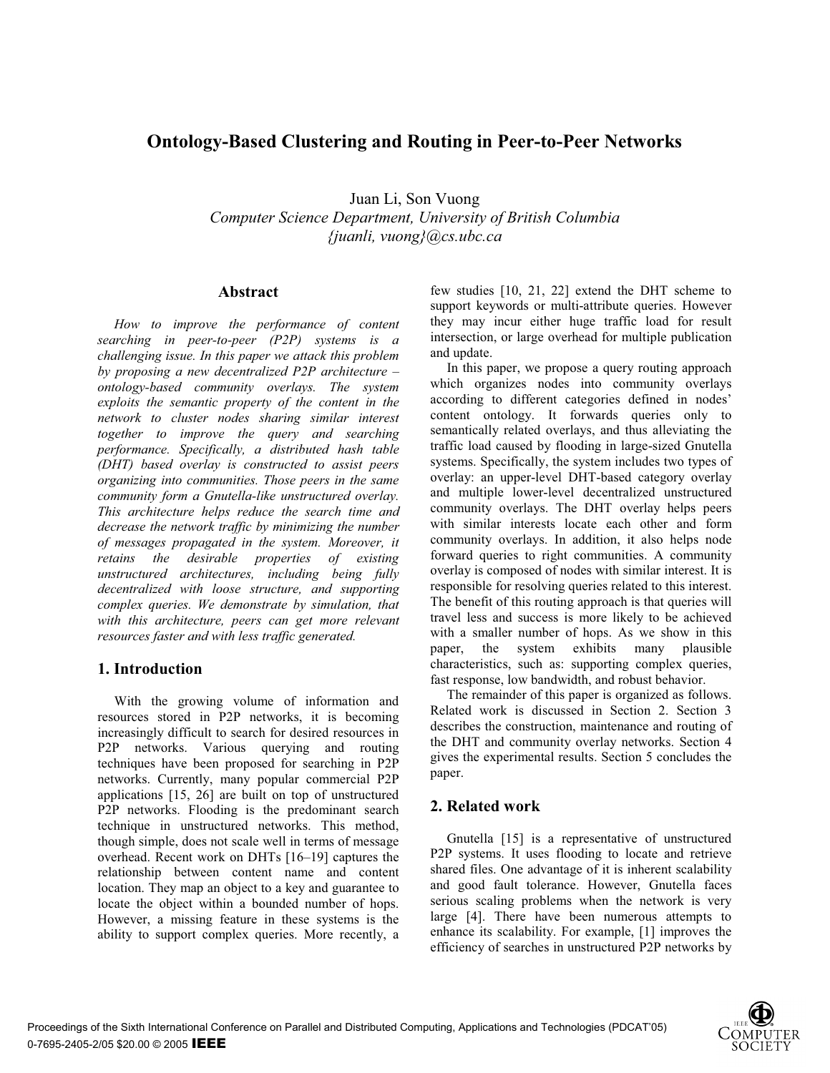# **Ontology-Based Clustering and Routing in Peer-to-Peer Networks**

Juan Li, Son Vuong

*Computer Science Department, University of British Columbia {juanli, vuong}@cs.ubc.ca* 

#### **Abstract**

*How to improve the performance of content searching in peer-to-peer (P2P) systems is a challenging issue. In this paper we attack this problem by proposing a new decentralized P2P architecture – ontology-based community overlays. The system exploits the semantic property of the content in the network to cluster nodes sharing similar interest together to improve the query and searching performance. Specifically, a distributed hash table (DHT) based overlay is constructed to assist peers organizing into communities. Those peers in the same community form a Gnutella-like unstructured overlay. This architecture helps reduce the search time and decrease the network traffic by minimizing the number of messages propagated in the system. Moreover, it retains the desirable properties of existing unstructured architectures, including being fully decentralized with loose structure, and supporting complex queries. We demonstrate by simulation, that with this architecture, peers can get more relevant resources faster and with less traffic generated.* 

# **1. Introduction**

With the growing volume of information and resources stored in P2P networks, it is becoming increasingly difficult to search for desired resources in P2P networks. Various querying and routing techniques have been proposed for searching in P2P networks. Currently, many popular commercial P2P applications [15, 26] are built on top of unstructured P2P networks. Flooding is the predominant search technique in unstructured networks. This method, though simple, does not scale well in terms of message overhead. Recent work on DHTs [16*–*19] captures the relationship between content name and content location. They map an object to a key and guarantee to locate the object within a bounded number of hops. However, a missing feature in these systems is the ability to support complex queries. More recently, a few studies [10, 21, 22] extend the DHT scheme to support keywords or multi-attribute queries. However they may incur either huge traffic load for result intersection, or large overhead for multiple publication and update.

In this paper, we propose a query routing approach which organizes nodes into community overlays according to different categories defined in nodes' content ontology. It forwards queries only to semantically related overlays, and thus alleviating the traffic load caused by flooding in large-sized Gnutella systems. Specifically, the system includes two types of overlay: an upper-level DHT-based category overlay and multiple lower-level decentralized unstructured community overlays. The DHT overlay helps peers with similar interests locate each other and form community overlays. In addition, it also helps node forward queries to right communities. A community overlay is composed of nodes with similar interest. It is responsible for resolving queries related to this interest. The benefit of this routing approach is that queries will travel less and success is more likely to be achieved with a smaller number of hops. As we show in this paper, the system exhibits many plausible characteristics, such as: supporting complex queries, fast response, low bandwidth, and robust behavior.

The remainder of this paper is organized as follows. Related work is discussed in Section 2. Section 3 describes the construction, maintenance and routing of the DHT and community overlay networks. Section 4 gives the experimental results. Section 5 concludes the paper.

# **2. Related work**

Gnutella [15] is a representative of unstructured P2P systems. It uses flooding to locate and retrieve shared files. One advantage of it is inherent scalability and good fault tolerance. However, Gnutella faces serious scaling problems when the network is very large [4]. There have been numerous attempts to enhance its scalability. For example, [1] improves the efficiency of searches in unstructured P2P networks by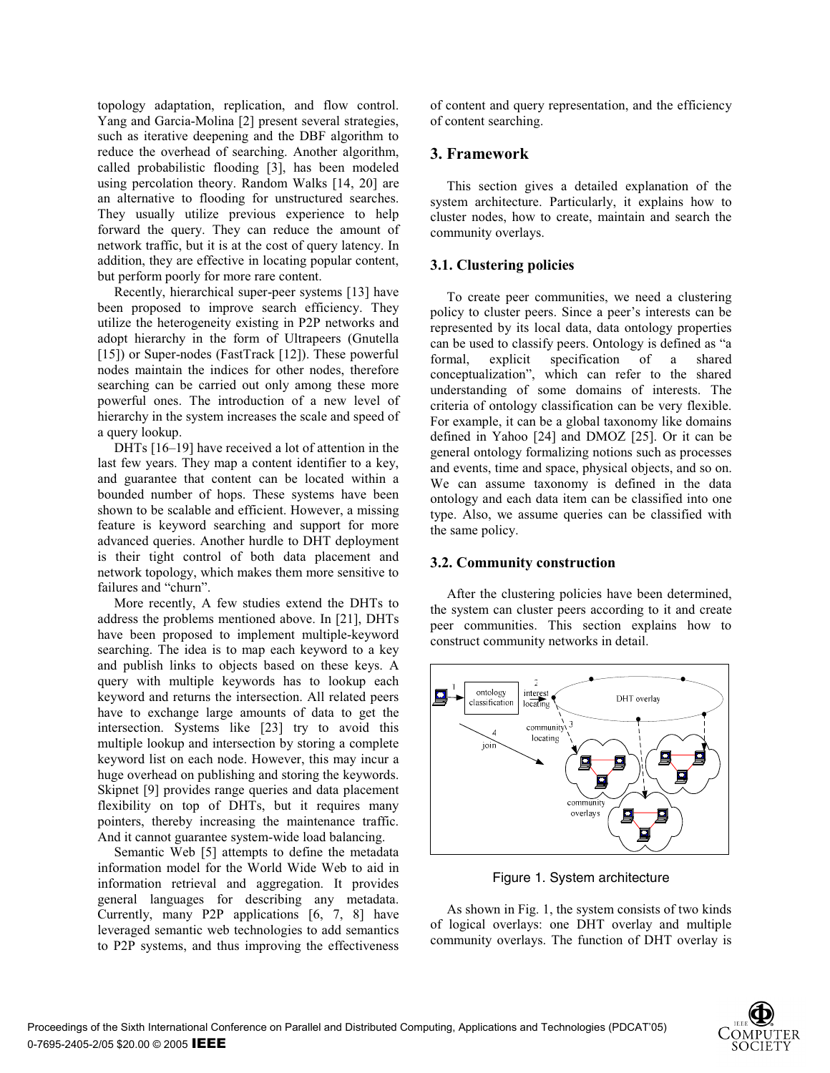topology adaptation, replication, and flow control. Yang and Garcia-Molina [2] present several strategies, such as iterative deepening and the DBF algorithm to reduce the overhead of searching. Another algorithm, called probabilistic flooding [3], has been modeled using percolation theory. Random Walks [14, 20] are an alternative to flooding for unstructured searches. They usually utilize previous experience to help forward the query. They can reduce the amount of network traffic, but it is at the cost of query latency. In addition, they are effective in locating popular content, but perform poorly for more rare content.

Recently, hierarchical super-peer systems [13] have been proposed to improve search efficiency. They utilize the heterogeneity existing in P2P networks and adopt hierarchy in the form of Ultrapeers (Gnutella [15]) or Super-nodes (FastTrack [12]). These powerful nodes maintain the indices for other nodes, therefore searching can be carried out only among these more powerful ones. The introduction of a new level of hierarchy in the system increases the scale and speed of a query lookup.

DHTs [16–19] have received a lot of attention in the last few years. They map a content identifier to a key, and guarantee that content can be located within a bounded number of hops. These systems have been shown to be scalable and efficient. However, a missing feature is keyword searching and support for more advanced queries. Another hurdle to DHT deployment is their tight control of both data placement and network topology, which makes them more sensitive to failures and "churn".

More recently, A few studies extend the DHTs to address the problems mentioned above. In [21], DHTs have been proposed to implement multiple-keyword searching. The idea is to map each keyword to a key and publish links to objects based on these keys. A query with multiple keywords has to lookup each keyword and returns the intersection. All related peers have to exchange large amounts of data to get the intersection. Systems like [23] try to avoid this multiple lookup and intersection by storing a complete keyword list on each node. However, this may incur a huge overhead on publishing and storing the keywords. Skipnet [9] provides range queries and data placement flexibility on top of DHTs, but it requires many pointers, thereby increasing the maintenance traffic. And it cannot guarantee system-wide load balancing.

Semantic Web [5] attempts to define the metadata information model for the World Wide Web to aid in information retrieval and aggregation. It provides general languages for describing any metadata. Currently, many P2P applications [6, 7, 8] have leveraged semantic web technologies to add semantics to P2P systems, and thus improving the effectiveness of content and query representation, and the efficiency of content searching.

## **3. Framework**

This section gives a detailed explanation of the system architecture. Particularly, it explains how to cluster nodes, how to create, maintain and search the community overlays.

## **3.1. Clustering policies**

To create peer communities, we need a clustering policy to cluster peers. Since a peer's interests can be represented by its local data, data ontology properties can be used to classify peers. Ontology is defined as "a formal, explicit specification of a shared conceptualization", which can refer to the shared understanding of some domains of interests. The criteria of ontology classification can be very flexible. For example, it can be a global taxonomy like domains defined in Yahoo [24] and DMOZ [25]. Or it can be general ontology formalizing notions such as processes and events, time and space, physical objects, and so on. We can assume taxonomy is defined in the data ontology and each data item can be classified into one type. Also, we assume queries can be classified with the same policy.

#### **3.2. Community construction**

After the clustering policies have been determined, the system can cluster peers according to it and create peer communities. This section explains how to construct community networks in detail.



Figure 1. System architecture

As shown in Fig. 1, the system consists of two kinds of logical overlays: one DHT overlay and multiple community overlays. The function of DHT overlay is

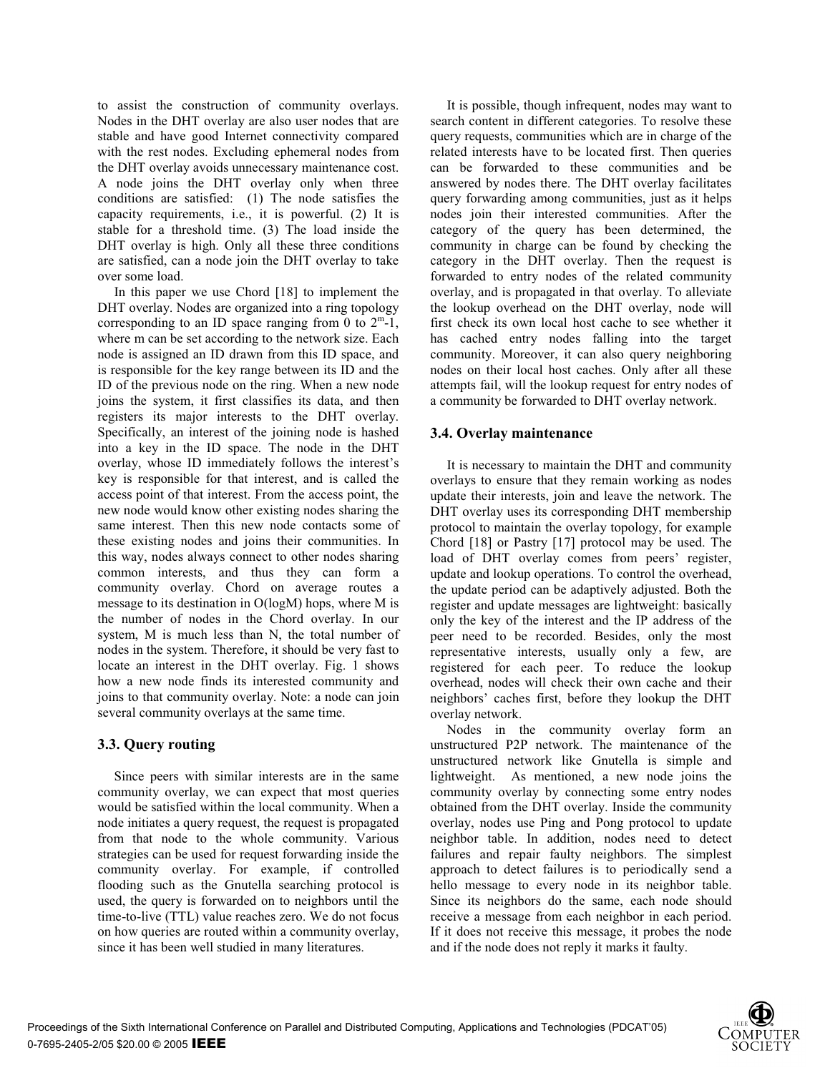to assist the construction of community overlays. Nodes in the DHT overlay are also user nodes that are stable and have good Internet connectivity compared with the rest nodes. Excluding ephemeral nodes from the DHT overlay avoids unnecessary maintenance cost. A node joins the DHT overlay only when three conditions are satisfied: (1) The node satisfies the capacity requirements, i.e., it is powerful. (2) It is stable for a threshold time. (3) The load inside the DHT overlay is high. Only all these three conditions are satisfied, can a node join the DHT overlay to take over some load.

In this paper we use Chord [18] to implement the DHT overlay. Nodes are organized into a ring topology corresponding to an ID space ranging from 0 to  $2^m-1$ , where m can be set according to the network size. Each node is assigned an ID drawn from this ID space, and is responsible for the key range between its ID and the ID of the previous node on the ring. When a new node joins the system, it first classifies its data, and then registers its major interests to the DHT overlay. Specifically, an interest of the joining node is hashed into a key in the ID space. The node in the DHT overlay, whose ID immediately follows the interest's key is responsible for that interest, and is called the access point of that interest. From the access point, the new node would know other existing nodes sharing the same interest. Then this new node contacts some of these existing nodes and joins their communities. In this way, nodes always connect to other nodes sharing common interests, and thus they can form a community overlay. Chord on average routes a message to its destination in O(logM) hops, where M is the number of nodes in the Chord overlay. In our system, M is much less than N, the total number of nodes in the system. Therefore, it should be very fast to locate an interest in the DHT overlay. Fig. 1 shows how a new node finds its interested community and joins to that community overlay. Note: a node can join several community overlays at the same time.

# **3.3. Query routing**

Since peers with similar interests are in the same community overlay, we can expect that most queries would be satisfied within the local community. When a node initiates a query request, the request is propagated from that node to the whole community. Various strategies can be used for request forwarding inside the community overlay. For example, if controlled flooding such as the Gnutella searching protocol is used, the query is forwarded on to neighbors until the time-to-live (TTL) value reaches zero. We do not focus on how queries are routed within a community overlay, since it has been well studied in many literatures.

It is possible, though infrequent, nodes may want to search content in different categories. To resolve these query requests, communities which are in charge of the related interests have to be located first. Then queries can be forwarded to these communities and be answered by nodes there. The DHT overlay facilitates query forwarding among communities, just as it helps nodes join their interested communities. After the category of the query has been determined, the community in charge can be found by checking the category in the DHT overlay. Then the request is forwarded to entry nodes of the related community overlay, and is propagated in that overlay. To alleviate the lookup overhead on the DHT overlay, node will first check its own local host cache to see whether it has cached entry nodes falling into the target community. Moreover, it can also query neighboring nodes on their local host caches. Only after all these attempts fail, will the lookup request for entry nodes of a community be forwarded to DHT overlay network.

# **3.4. Overlay maintenance**

It is necessary to maintain the DHT and community overlays to ensure that they remain working as nodes update their interests, join and leave the network. The DHT overlay uses its corresponding DHT membership protocol to maintain the overlay topology, for example Chord [18] or Pastry [17] protocol may be used. The load of DHT overlay comes from peers' register, update and lookup operations. To control the overhead, the update period can be adaptively adjusted. Both the register and update messages are lightweight: basically only the key of the interest and the IP address of the peer need to be recorded. Besides, only the most representative interests, usually only a few, are registered for each peer. To reduce the lookup overhead, nodes will check their own cache and their neighbors' caches first, before they lookup the DHT overlay network.

Nodes in the community overlay form an unstructured P2P network. The maintenance of the unstructured network like Gnutella is simple and lightweight. As mentioned, a new node joins the community overlay by connecting some entry nodes obtained from the DHT overlay. Inside the community overlay, nodes use Ping and Pong protocol to update neighbor table. In addition, nodes need to detect failures and repair faulty neighbors. The simplest approach to detect failures is to periodically send a hello message to every node in its neighbor table. Since its neighbors do the same, each node should receive a message from each neighbor in each period. If it does not receive this message, it probes the node and if the node does not reply it marks it faulty.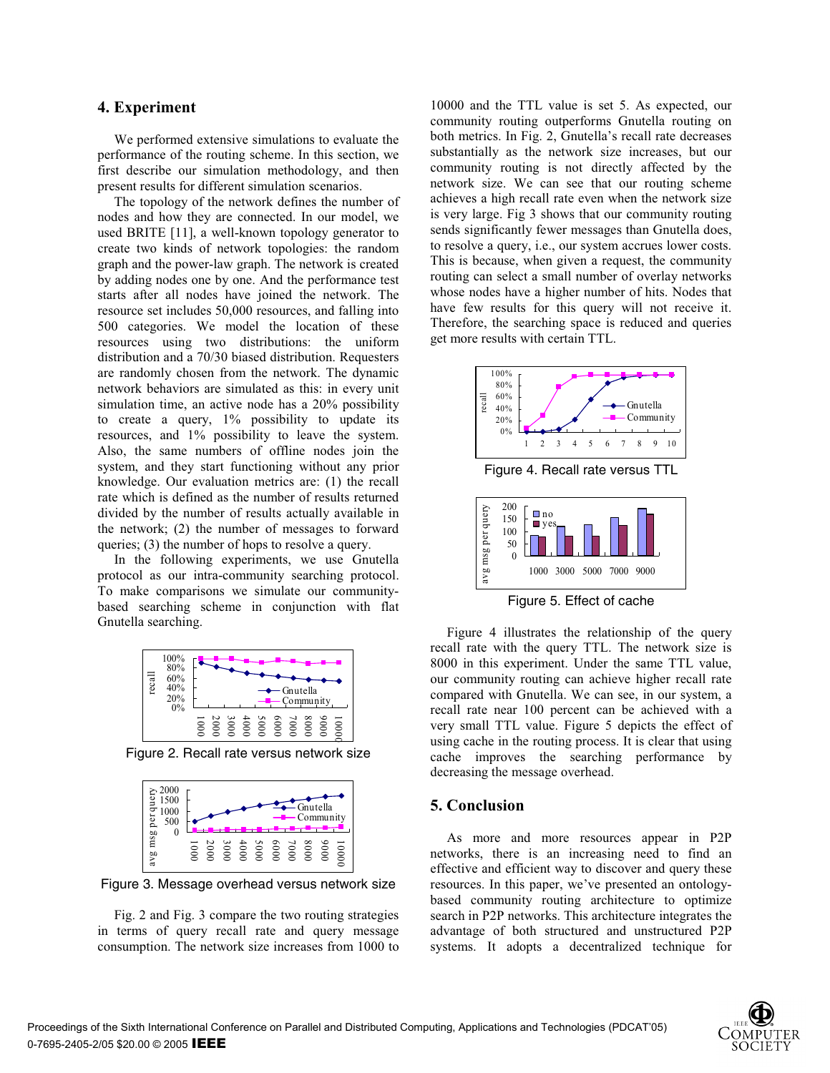#### **4. Experiment**

We performed extensive simulations to evaluate the performance of the routing scheme. In this section, we first describe our simulation methodology, and then present results for different simulation scenarios.

The topology of the network defines the number of nodes and how they are connected. In our model, we used BRITE [11], a well-known topology generator to create two kinds of network topologies: the random graph and the power-law graph. The network is created by adding nodes one by one. And the performance test starts after all nodes have joined the network. The resource set includes 50,000 resources, and falling into 500 categories. We model the location of these resources using two distributions: the uniform distribution and a 70/30 biased distribution. Requesters are randomly chosen from the network. The dynamic network behaviors are simulated as this: in every unit simulation time, an active node has a 20% possibility to create a query, 1% possibility to update its resources, and 1% possibility to leave the system. Also, the same numbers of offline nodes join the system, and they start functioning without any prior knowledge. Our evaluation metrics are: (1) the recall rate which is defined as the number of results returned divided by the number of results actually available in the network; (2) the number of messages to forward queries; (3) the number of hops to resolve a query.

In the following experiments, we use Gnutella protocol as our intra-community searching protocol. To make comparisons we simulate our communitybased searching scheme in conjunction with flat Gnutella searching.







Figure 3. Message overhead versus network size

Fig. 2 and Fig. 3 compare the two routing strategies in terms of query recall rate and query message consumption. The network size increases from 1000 to

10000 and the TTL value is set 5. As expected, our community routing outperforms Gnutella routing on both metrics. In Fig. 2, Gnutella's recall rate decreases substantially as the network size increases, but our community routing is not directly affected by the network size. We can see that our routing scheme achieves a high recall rate even when the network size is very large. Fig 3 shows that our community routing sends significantly fewer messages than Gnutella does, to resolve a query, i.e., our system accrues lower costs. This is because, when given a request, the community routing can select a small number of overlay networks whose nodes have a higher number of hits. Nodes that have few results for this query will not receive it. Therefore, the searching space is reduced and queries get more results with certain TTL.



Figure 4. Recall rate versus TTL



Figure 5. Effect of cache

Figure 4 illustrates the relationship of the query recall rate with the query TTL. The network size is 8000 in this experiment. Under the same TTL value, our community routing can achieve higher recall rate compared with Gnutella. We can see, in our system, a recall rate near 100 percent can be achieved with a very small TTL value. Figure 5 depicts the effect of using cache in the routing process. It is clear that using cache improves the searching performance by decreasing the message overhead.

## **5. Conclusion**

As more and more resources appear in P2P networks, there is an increasing need to find an effective and efficient way to discover and query these resources. In this paper, we've presented an ontologybased community routing architecture to optimize search in P2P networks. This architecture integrates the advantage of both structured and unstructured P2P systems. It adopts a decentralized technique for